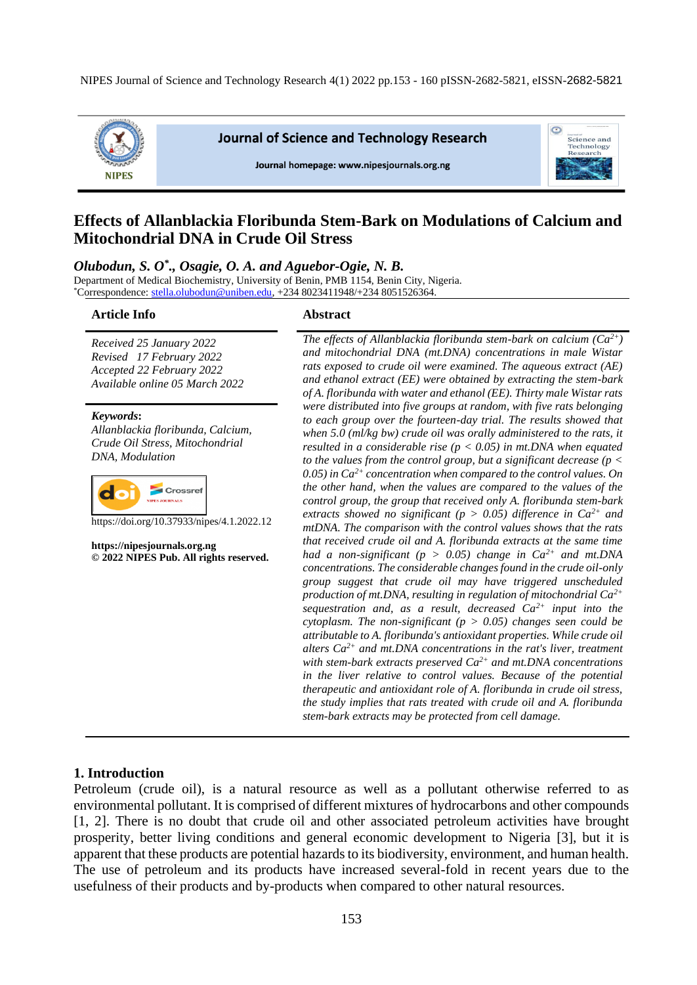

**Journal of Science and Technology Research** 

Journal homepage: www.nipesjournals.org.ng



# **Effects of Allanblackia Floribunda Stem-Bark on Modulations of Calcium and Mitochondrial DNA in Crude Oil Stress**

*Olubodun, S. O\* ., Osagie, O. A. and Aguebor-Ogie, N. B.*

Department of Medical Biochemistry, University of Benin, PMB 1154, Benin City, Nigeria.  $^*$ Correspondence[: stella.olubodun@uniben.edu,](mailto:stella.olubodun@uniben.edu) +234 8023411948/+234 8051526364.

#### **Article Info Abstract**

*Received 25 January 2022 Revised 17 February 2022 Accepted 22 February 2022 Available online 05 March 2022*

*Keywords***:** *Allanblackia floribunda, Calcium, Crude Oil Stress, Mitochondrial DNA, Modulation* 



https://doi.org/10.37933/nipes/4.1.2022.12

**https://nipesjournals.org.ng © 2022 NIPES Pub. All rights reserved.**

*The effects of Allanblackia floribunda stem-bark on calcium (Ca2+) and mitochondrial DNA (mt.DNA) concentrations in male Wistar rats exposed to crude oil were examined. The aqueous extract (AE) and ethanol extract (EE) were obtained by extracting the stem-bark of A. floribunda with water and ethanol (EE). Thirty male Wistar rats were distributed into five groups at random, with five rats belonging to each group over the fourteen-day trial. The results showed that when 5.0 (ml/kg bw) crude oil was orally administered to the rats, it resulted in a considerable rise (p < 0.05) in mt.DNA when equated to the values from the control group, but a significant decrease (p < 0.05) in Ca2+ concentration when compared to the control values. On the other hand, when the values are compared to the values of the control group, the group that received only A. floribunda stem-bark extracts showed no significant (p > 0.05) difference in*  $Ca^{2+}$  *and mtDNA. The comparison with the control values shows that the rats that received crude oil and A. floribunda extracts at the same time had a non-significant (p > 0.05) change in Ca2+ and mt.DNA concentrations. The considerable changes found in the crude oil-only group suggest that crude oil may have triggered unscheduled production of mt.DNA, resulting in regulation of mitochondrial Ca2+ sequestration and, as a result, decreased Ca2+ input into the cytoplasm. The non-significant (p > 0.05) changes seen could be attributable to A. floribunda's antioxidant properties. While crude oil alters Ca2+ and mt.DNA concentrations in the rat's liver, treatment with stem-bark extracts preserved Ca2+ and mt.DNA concentrations in the liver relative to control values. Because of the potential therapeutic and antioxidant role of A. floribunda in crude oil stress, the study implies that rats treated with crude oil and A. floribunda stem-bark extracts may be protected from cell damage.*

#### **1. Introduction**

Petroleum (crude oil), is a natural resource as well as a pollutant otherwise referred to as environmental pollutant. It is comprised of different mixtures of hydrocarbons and other compounds [1, 2]. There is no doubt that crude oil and other associated petroleum activities have brought prosperity, better living conditions and general economic development to Nigeria [3], but it is apparent that these products are potential hazards to its biodiversity, environment, and human health. The use of petroleum and its products have increased several-fold in recent years due to the usefulness of their products and by-products when compared to other natural resources.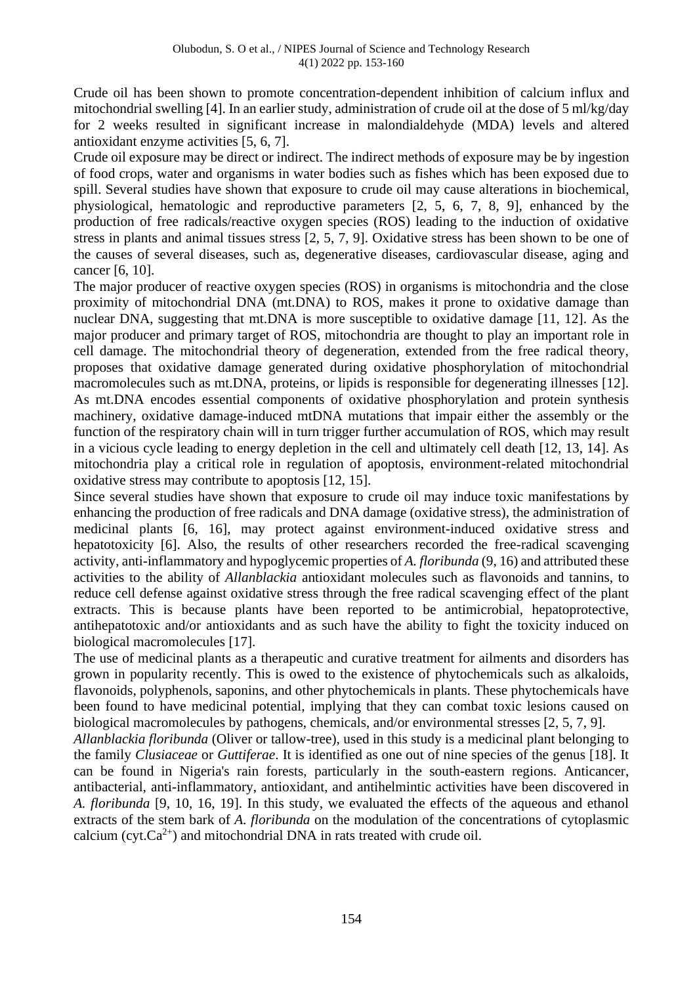Crude oil has been shown to promote concentration-dependent inhibition of calcium influx and mitochondrial swelling [4]. In an earlier study, administration of crude oil at the dose of 5 ml/kg/day for 2 weeks resulted in significant increase in malondialdehyde (MDA) levels and altered antioxidant enzyme activities [5, 6, 7].

Crude oil exposure may be direct or indirect. The indirect methods of exposure may be by ingestion of food crops, water and organisms in water bodies such as fishes which has been exposed due to spill. Several studies have shown that exposure to crude oil may cause alterations in biochemical, physiological, hematologic and reproductive parameters [2, 5, 6, 7, 8, 9], enhanced by the production of free radicals/reactive oxygen species (ROS) leading to the induction of oxidative stress in plants and animal tissues stress [2, 5, 7, 9]. Oxidative stress has been shown to be one of the causes of several diseases, such as, degenerative diseases, cardiovascular disease, aging and cancer [6, 10].

The major producer of reactive oxygen species (ROS) in organisms is mitochondria and the close proximity of mitochondrial DNA (mt.DNA) to ROS, makes it prone to oxidative damage than nuclear DNA, suggesting that mt.DNA is more susceptible to oxidative damage [11, 12]. As the major producer and primary target of ROS, mitochondria are thought to play an important role in cell damage. The mitochondrial theory of degeneration, extended from the free radical theory, proposes that oxidative damage generated during oxidative phosphorylation of mitochondrial macromolecules such as mt.DNA, proteins, or lipids is responsible for degenerating illnesses [12]. As mt.DNA encodes essential components of oxidative phosphorylation and protein synthesis machinery, oxidative damage-induced mtDNA mutations that impair either the assembly or the function of the respiratory chain will in turn trigger further accumulation of ROS, which may result in a vicious cycle leading to energy depletion in the cell and ultimately cell death [12, 13, 14]. As mitochondria play a critical role in regulation of apoptosis, environment-related mitochondrial oxidative stress may contribute to apoptosis [12, 15].

Since several studies have shown that exposure to crude oil may induce toxic manifestations by enhancing the production of free radicals and DNA damage (oxidative stress), the administration of medicinal plants [6, 16], may protect against environment-induced oxidative stress and hepatotoxicity [6]. Also, the results of other researchers recorded the free-radical scavenging activity, anti-inflammatory and hypoglycemic properties of *A. floribunda* (9, 16) and attributed these activities to the ability of *Allanblackia* antioxidant molecules such as flavonoids and tannins, to reduce cell defense against oxidative stress through the free radical scavenging effect of the plant extracts. This is because plants have been reported to be antimicrobial, hepatoprotective, antihepatotoxic and/or antioxidants and as such have the ability to fight the toxicity induced on biological macromolecules [17].

The use of medicinal plants as a therapeutic and curative treatment for ailments and disorders has grown in popularity recently. This is owed to the existence of phytochemicals such as alkaloids, flavonoids, polyphenols, saponins, and other phytochemicals in plants. These phytochemicals have been found to have medicinal potential, implying that they can combat toxic lesions caused on biological macromolecules by pathogens, chemicals, and/or environmental stresses [2, 5, 7, 9].

*Allanblackia floribunda* (Oliver or tallow-tree), used in this study is a medicinal plant belonging to the family *Clusiaceae* or *Guttiferae*. It is identified as one out of nine species of the genus [18]. It can be found in Nigeria's rain forests, particularly in the south-eastern regions. Anticancer, antibacterial, anti-inflammatory, antioxidant, and antihelmintic activities have been discovered in *A. floribunda* [9, 10, 16, 19]. In this study, we evaluated the effects of the aqueous and ethanol extracts of the stem bark of *A. floribunda* on the modulation of the concentrations of cytoplasmic calcium (cyt. $Ca^{2+}$ ) and mitochondrial DNA in rats treated with crude oil.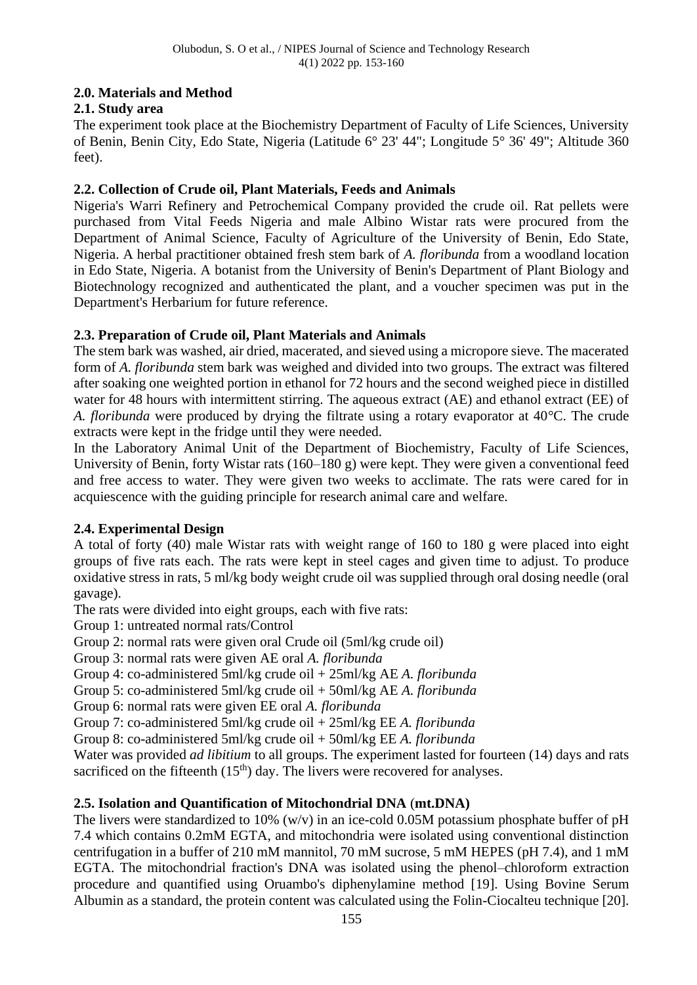# **2.0. Materials and Method**

# **2.1. Study area**

The experiment took place at the Biochemistry Department of Faculty of Life Sciences, University of Benin, Benin City, Edo State, Nigeria (Latitude 6° 23' 44"; Longitude 5° 36' 49"; Altitude 360 feet).

# **2.2. Collection of Crude oil, Plant Materials, Feeds and Animals**

Nigeria's Warri Refinery and Petrochemical Company provided the crude oil. Rat pellets were purchased from Vital Feeds Nigeria and male Albino Wistar rats were procured from the Department of Animal Science, Faculty of Agriculture of the University of Benin, Edo State, Nigeria. A herbal practitioner obtained fresh stem bark of *A. floribunda* from a woodland location in Edo State, Nigeria. A botanist from the University of Benin's Department of Plant Biology and Biotechnology recognized and authenticated the plant, and a voucher specimen was put in the Department's Herbarium for future reference.

# **2.3. Preparation of Crude oil, Plant Materials and Animals**

The stem bark was washed, air dried, macerated, and sieved using a micropore sieve. The macerated form of *A. floribunda* stem bark was weighed and divided into two groups. The extract was filtered after soaking one weighted portion in ethanol for 72 hours and the second weighed piece in distilled water for 48 hours with intermittent stirring. The aqueous extract (AE) and ethanol extract (EE) of *A. floribunda* were produced by drying the filtrate using a rotary evaporator at 40°C. The crude extracts were kept in the fridge until they were needed.

In the Laboratory Animal Unit of the Department of Biochemistry, Faculty of Life Sciences, University of Benin, forty Wistar rats (160–180 g) were kept. They were given a conventional feed and free access to water. They were given two weeks to acclimate. The rats were cared for in acquiescence with the guiding principle for research animal care and welfare.

# **2.4. Experimental Design**

A total of forty (40) male Wistar rats with weight range of 160 to 180 g were placed into eight groups of five rats each. The rats were kept in steel cages and given time to adjust. To produce oxidative stress in rats, 5 ml/kg body weight crude oil was supplied through oral dosing needle (oral gavage).

The rats were divided into eight groups, each with five rats:

Group 1: untreated normal rats/Control

Group 2: normal rats were given oral Crude oil (5ml/kg crude oil)

Group 3: normal rats were given AE oral *A. floribunda*

Group 4: co-administered 5ml/kg crude oil + 25ml/kg AE *A. floribunda*

Group 5: co-administered 5ml/kg crude oil + 50ml/kg AE *A. floribunda*

Group 6: normal rats were given EE oral *A. floribunda*

Group 7: co-administered 5ml/kg crude oil + 25ml/kg EE *A. floribunda*

Group 8: co-administered 5ml/kg crude oil + 50ml/kg EE *A. floribunda*

Water was provided *ad libitium* to all groups. The experiment lasted for fourteen (14) days and rats sacrificed on the fifteenth  $(15<sup>th</sup>)$  day. The livers were recovered for analyses.

# **2.5. Isolation and Quantification of Mitochondrial DNA** (**mt.DNA)**

The livers were standardized to 10% (w/v) in an ice-cold 0.05M potassium phosphate buffer of pH 7.4 which contains 0.2mM EGTA, and mitochondria were isolated using conventional distinction centrifugation in a buffer of 210 mM mannitol, 70 mM sucrose, 5 mM HEPES (pH 7.4), and 1 mM EGTA. The mitochondrial fraction's DNA was isolated using the phenol–chloroform extraction procedure and quantified using Oruambo's diphenylamine method [19]. Using Bovine Serum Albumin as a standard, the protein content was calculated using the Folin-Ciocalteu technique [20].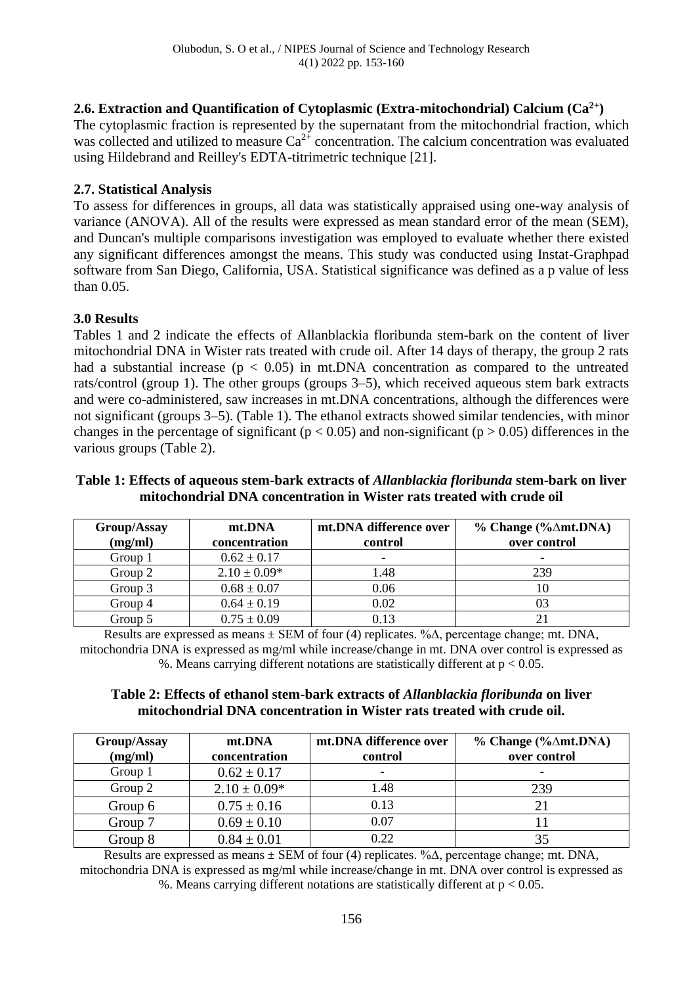# **2.6. Extraction and Quantification of Cytoplasmic (Extra-mitochondrial) Calcium (Ca2+)**

The cytoplasmic fraction is represented by the supernatant from the mitochondrial fraction, which was collected and utilized to measure  $Ca^{2+}$  concentration. The calcium concentration was evaluated using Hildebrand and Reilley's EDTA-titrimetric technique [21].

## **2.7. Statistical Analysis**

To assess for differences in groups, all data was statistically appraised using one-way analysis of variance (ANOVA). All of the results were expressed as mean standard error of the mean (SEM), and Duncan's multiple comparisons investigation was employed to evaluate whether there existed any significant differences amongst the means. This study was conducted using Instat-Graphpad software from San Diego, California, USA. Statistical significance was defined as a p value of less than 0.05.

## **3.0 Results**

Tables 1 and 2 indicate the effects of Allanblackia floribunda stem-bark on the content of liver mitochondrial DNA in Wister rats treated with crude oil. After 14 days of therapy, the group 2 rats had a substantial increase ( $p < 0.05$ ) in mt.DNA concentration as compared to the untreated rats/control (group 1). The other groups (groups 3–5), which received aqueous stem bark extracts and were co-administered, saw increases in mt.DNA concentrations, although the differences were not significant (groups 3–5). (Table 1). The ethanol extracts showed similar tendencies, with minor changes in the percentage of significant ( $p < 0.05$ ) and non-significant ( $p > 0.05$ ) differences in the various groups (Table 2).

## **Table 1: Effects of aqueous stem-bark extracts of** *Allanblackia floribunda* **stem-bark on liver mitochondrial DNA concentration in Wister rats treated with crude oil**

| Group/Assay<br>(mg/ml) | mt.DNA<br>concentration | mt.DNA difference over<br>control | $%$ Change (% $\triangle$ mt.DNA)<br>over control |
|------------------------|-------------------------|-----------------------------------|---------------------------------------------------|
| Group 1                | $0.62 \pm 0.17$         | $\overline{\phantom{0}}$          |                                                   |
| Group 2                | $2.10 \pm 0.09*$        | 1.48                              | 239                                               |
| Group 3                | $0.68 \pm 0.07$         | 0.06                              | 10                                                |
| Group 4                | $0.64 \pm 0.19$         | 0.02                              |                                                   |
| Group 5                | $0.75 \pm 0.09$         | 0.13                              |                                                   |

Results are expressed as means  $\pm$  SEM of four (4) replicates. % $\Delta$ , percentage change; mt. DNA, mitochondria DNA is expressed as mg/ml while increase/change in mt. DNA over control is expressed as %. Means carrying different notations are statistically different at  $p < 0.05$ .

## **Table 2: Effects of ethanol stem-bark extracts of** *Allanblackia floribunda* **on liver mitochondrial DNA concentration in Wister rats treated with crude oil.**

| Group/Assay<br>(mg/ml) | mt.DNA<br>concentration | mt.DNA difference over<br>control | $%$ Change (% $\triangle$ mt.DNA)<br>over control |
|------------------------|-------------------------|-----------------------------------|---------------------------------------------------|
| Group 1                | $0.62 \pm 0.17$         | $\overline{\phantom{0}}$          |                                                   |
| Group 2                | $2.10 \pm 0.09*$        | 1.48                              | 239                                               |
| Group 6                | $0.75 \pm 0.16$         | 0.13                              |                                                   |
| Group 7                | $0.69 \pm 0.10$         | 0.07                              |                                                   |
| Group 8                | $0.84 \pm 0.01$         | 0.22                              |                                                   |

Results are expressed as means ± SEM of four (4) replicates. %∆, percentage change; mt. DNA, mitochondria DNA is expressed as mg/ml while increase/change in mt. DNA over control is expressed as %. Means carrying different notations are statistically different at  $p < 0.05$ .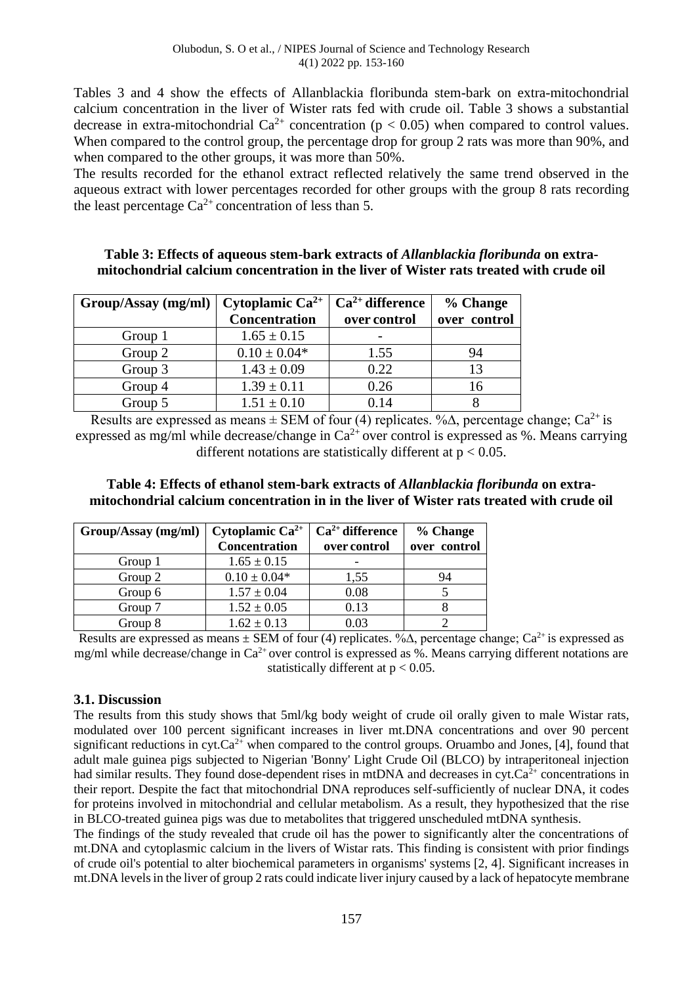Tables 3 and 4 show the effects of Allanblackia floribunda stem-bark on extra-mitochondrial calcium concentration in the liver of Wister rats fed with crude oil. Table 3 shows a substantial decrease in extra-mitochondrial  $Ca^{2+}$  concentration ( $p < 0.05$ ) when compared to control values. When compared to the control group, the percentage drop for group 2 rats was more than 90%, and when compared to the other groups, it was more than 50%.

The results recorded for the ethanol extract reflected relatively the same trend observed in the aqueous extract with lower percentages recorded for other groups with the group 8 rats recording the least percentage  $Ca^{2+}$  concentration of less than 5.

## **Table 3: Effects of aqueous stem-bark extracts of** *Allanblackia floribunda* **on extramitochondrial calcium concentration in the liver of Wister rats treated with crude oil**

| Group/Assay(mg/ml) | Cytoplamic $Ca^{2+}$ | $Ca2+ difference$ | % Change     |
|--------------------|----------------------|-------------------|--------------|
|                    | <b>Concentration</b> | over control      | over control |
| Group 1            | $1.65 \pm 0.15$      |                   |              |
| Group 2            | $0.10 \pm 0.04*$     | 1.55              | 94           |
| Group 3            | $1.43 \pm 0.09$      | 0.22              | 13           |
| Group 4            | $1.39 \pm 0.11$      | 0.26              | 16           |
| Group 5            | $1.51 \pm 0.10$      | 0.14              |              |

Results are expressed as means  $\pm$  SEM of four (4) replicates. % $\Delta$ , percentage change; Ca<sup>2+</sup> is expressed as mg/ml while decrease/change in  $Ca^{2+}$  over control is expressed as %. Means carrying different notations are statistically different at  $p < 0.05$ .

## **Table 4: Effects of ethanol stem-bark extracts of** *Allanblackia floribunda* **on extramitochondrial calcium concentration in in the liver of Wister rats treated with crude oil**

| Group/Assay (mg/ml) | Cytoplamic $Ca^{2+}$ | $Ca2+ difference$ | % Change     |
|---------------------|----------------------|-------------------|--------------|
|                     | Concentration        | over control      | over control |
| Group 1             | $1.65 \pm 0.15$      |                   |              |
| Group 2             | $0.10 \pm 0.04*$     | 1,55              | 94           |
| Group 6             | $1.57 \pm 0.04$      | 0.08              |              |
| Group 7             | $1.52 \pm 0.05$      | 0.13              |              |
| Group 8             | $1.62 \pm 0.13$      | 0.03              |              |

Results are expressed as means  $\pm$  SEM of four (4) replicates. % $\Delta$ , percentage change; Ca<sup>2+</sup> is expressed as mg/ml while decrease/change in  $Ca^{2+}$  over control is expressed as %. Means carrying different notations are statistically different at  $p < 0.05$ .

## **3.1. Discussion**

The results from this study shows that 5ml/kg body weight of crude oil orally given to male Wistar rats, modulated over 100 percent significant increases in liver mt.DNA concentrations and over 90 percent significant reductions in cyt. $Ca^{2+}$  when compared to the control groups. Oruambo and Jones, [4], found that adult male guinea pigs subjected to Nigerian 'Bonny' Light Crude Oil (BLCO) by intraperitoneal injection had similar results. They found dose-dependent rises in mtDNA and decreases in cyt. $Ca<sup>2+</sup>$  concentrations in their report. Despite the fact that mitochondrial DNA reproduces self-sufficiently of nuclear DNA, it codes for proteins involved in mitochondrial and cellular metabolism. As a result, they hypothesized that the rise in BLCO-treated guinea pigs was due to metabolites that triggered unscheduled mtDNA synthesis.

The findings of the study revealed that crude oil has the power to significantly alter the concentrations of mt.DNA and cytoplasmic calcium in the livers of Wistar rats. This finding is consistent with prior findings of crude oil's potential to alter biochemical parameters in organisms' systems [2, 4]. Significant increases in mt.DNA levels in the liver of group 2 rats could indicate liver injury caused by a lack of hepatocyte membrane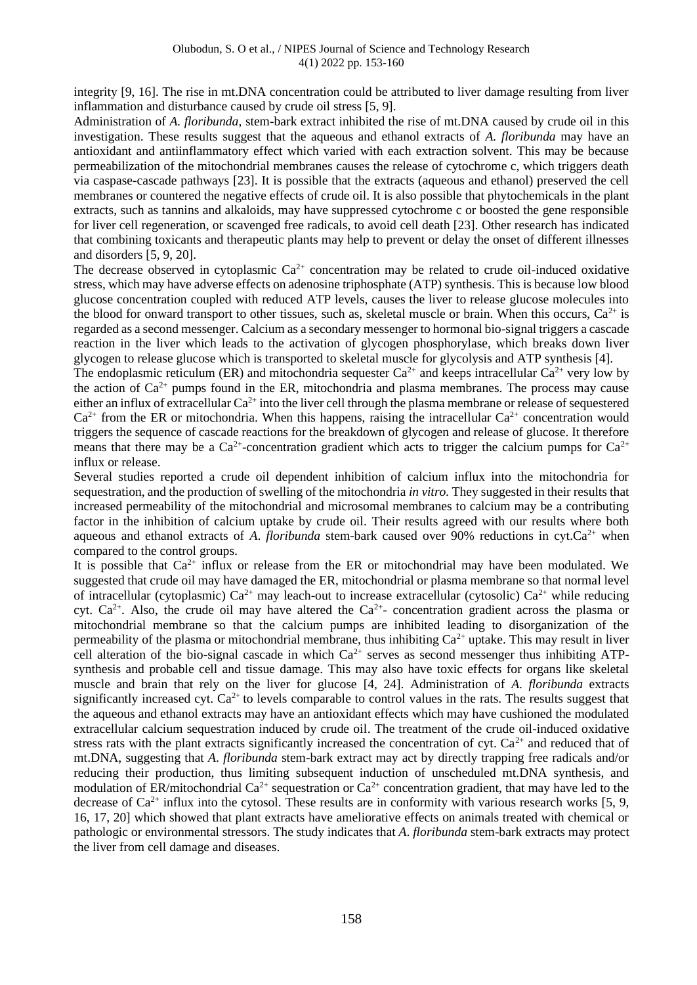integrity [9, 16]. The rise in mt.DNA concentration could be attributed to liver damage resulting from liver inflammation and disturbance caused by crude oil stress [5, 9].

Administration of *A. floribunda*, stem-bark extract inhibited the rise of mt.DNA caused by crude oil in this investigation. These results suggest that the aqueous and ethanol extracts of *A. floribunda* may have an antioxidant and antiinflammatory effect which varied with each extraction solvent. This may be because permeabilization of the mitochondrial membranes causes the release of cytochrome c, which triggers death via caspase-cascade pathways [23]. It is possible that the extracts (aqueous and ethanol) preserved the cell membranes or countered the negative effects of crude oil. It is also possible that phytochemicals in the plant extracts, such as tannins and alkaloids, may have suppressed cytochrome c or boosted the gene responsible for liver cell regeneration, or scavenged free radicals, to avoid cell death [23]. Other research has indicated that combining toxicants and therapeutic plants may help to prevent or delay the onset of different illnesses and disorders [5, 9, 20].

The decrease observed in cytoplasmic  $Ca^{2+}$  concentration may be related to crude oil-induced oxidative stress, which may have adverse effects on adenosine triphosphate (ATP) synthesis. This is because low blood glucose concentration coupled with reduced ATP levels, causes the liver to release glucose molecules into the blood for onward transport to other tissues, such as, skeletal muscle or brain. When this occurs,  $Ca^{2+}$  is regarded as a second messenger. Calcium as a secondary messenger to hormonal bio-signal triggers a cascade reaction in the liver which leads to the activation of glycogen phosphorylase, which breaks down liver glycogen to release glucose which is transported to skeletal muscle for glycolysis and ATP synthesis [4].

The endoplasmic reticulum (ER) and mitochondria sequester  $Ca^{2+}$  and keeps intracellular  $Ca^{2+}$  very low by the action of  $Ca^{2+}$  pumps found in the ER, mitochondria and plasma membranes. The process may cause either an influx of extracellular  $Ca^{2+}$  into the liver cell through the plasma membrane or release of sequestered  $Ca^{2+}$  from the ER or mitochondria. When this happens, raising the intracellular  $Ca^{2+}$  concentration would triggers the sequence of cascade reactions for the breakdown of glycogen and release of glucose. It therefore means that there may be a  $Ca^{2+}$ -concentration gradient which acts to trigger the calcium pumps for  $Ca^{2+}$ influx or release.

Several studies reported a crude oil dependent inhibition of calcium influx into the mitochondria for sequestration, and the production of swelling of the mitochondria *in vitro.* They suggested in their results that increased permeability of the mitochondrial and microsomal membranes to calcium may be a contributing factor in the inhibition of calcium uptake by crude oil. Their results agreed with our results where both aqueous and ethanol extracts of *A. floribunda* stem-bark caused over 90% reductions in cyt. $Ca^{2+}$  when compared to the control groups.

It is possible that  $Ca^{2+}$  influx or release from the ER or mitochondrial may have been modulated. We suggested that crude oil may have damaged the ER, mitochondrial or plasma membrane so that normal level of intracellular (cytoplasmic)  $Ca^{2+}$  may leach-out to increase extracellular (cytosolic)  $Ca^{2+}$  while reducing cyt.  $Ca^{2+}$ . Also, the crude oil may have altered the  $Ca^{2+}$ - concentration gradient across the plasma or mitochondrial membrane so that the calcium pumps are inhibited leading to disorganization of the permeability of the plasma or mitochondrial membrane, thus inhibiting  $Ca^{2+}$  uptake. This may result in liver cell alteration of the bio-signal cascade in which  $Ca^{2+}$  serves as second messenger thus inhibiting ATPsynthesis and probable cell and tissue damage. This may also have toxic effects for organs like skeletal muscle and brain that rely on the liver for glucose [4, 24]. Administration of *A*. *floribunda* extracts significantly increased cyt.  $Ca^{2+}$  to levels comparable to control values in the rats. The results suggest that the aqueous and ethanol extracts may have an antioxidant effects which may have cushioned the modulated extracellular calcium sequestration induced by crude oil. The treatment of the crude oil-induced oxidative stress rats with the plant extracts significantly increased the concentration of cyt.  $Ca^{2+}$  and reduced that of mt.DNA, suggesting that *A*. *floribunda* stem-bark extract may act by directly trapping free radicals and/or reducing their production, thus limiting subsequent induction of unscheduled mt.DNA synthesis, and modulation of ER/mitochondrial  $Ca^{2+}$  sequestration or  $Ca^{2+}$  concentration gradient, that may have led to the decrease of  $Ca^{2+}$  influx into the cytosol. These results are in conformity with various research works [5, 9, 16, 17, 20] which showed that plant extracts have ameliorative effects on animals treated with chemical or pathologic or environmental stressors. The study indicates that *A*. *floribunda* stem-bark extracts may protect the liver from cell damage and diseases.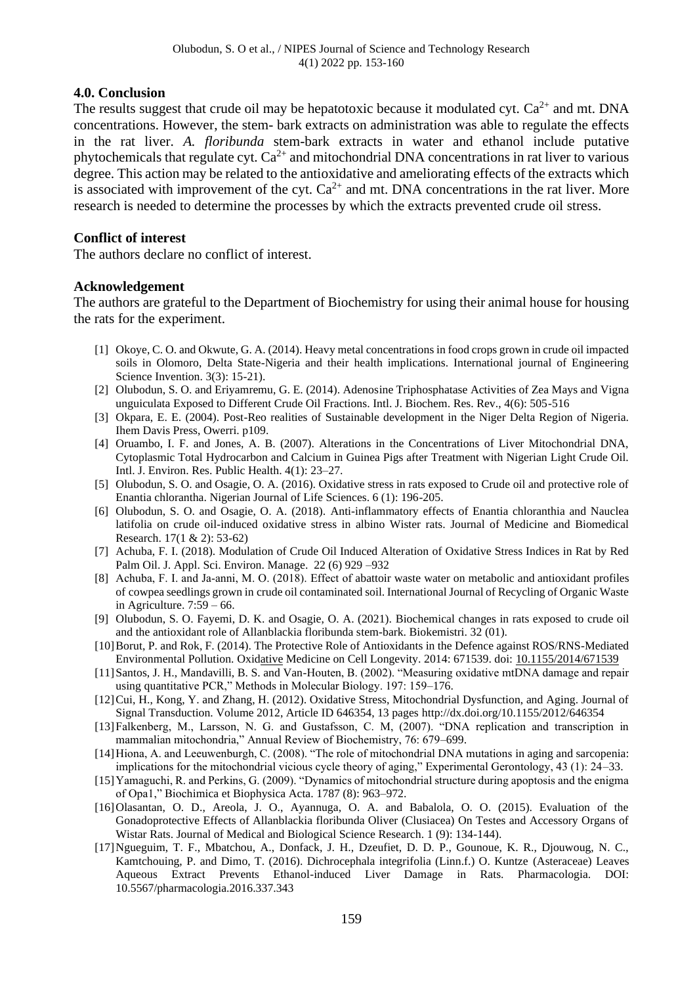## **4.0. Conclusion**

The results suggest that crude oil may be hepatotoxic because it modulated cvt.  $Ca^{2+}$  and mt. DNA concentrations. However, the stem- bark extracts on administration was able to regulate the effects in the rat liver. *A. floribunda* stem-bark extracts in water and ethanol include putative phytochemicals that regulate cyt.  $Ca^{2+}$  and mitochondrial DNA concentrations in rat liver to various degree. This action may be related to the antioxidative and ameliorating effects of the extracts which is associated with improvement of the cyt.  $Ca^{2+}$  and mt. DNA concentrations in the rat liver. More research is needed to determine the processes by which the extracts prevented crude oil stress.

## **Conflict of interest**

The authors declare no conflict of interest.

## **Acknowledgement**

The authors are grateful to the Department of Biochemistry for using their animal house for housing the rats for the experiment.

- [1] Okoye, C. O. and Okwute, G. A. (2014). Heavy metal concentrations in food crops grown in crude oil impacted soils in Olomoro, Delta State-Nigeria and their health implications. International journal of Engineering Science Invention. 3(3): 15-21).
- [2] Olubodun, S. O. and Eriyamremu, G. E. (2014). Adenosine Triphosphatase Activities of Zea Mays and Vigna unguiculata Exposed to Different Crude Oil Fractions. Intl. J. Biochem. Res. Rev., 4(6): 505-516
- [3] Okpara, E. E. (2004). Post-Reo realities of Sustainable development in the Niger Delta Region of Nigeria. Ihem Davis Press, Owerri. p109.
- [4] Oruambo, I. F. and Jones, A. B. (2007). Alterations in the Concentrations of Liver Mitochondrial DNA, Cytoplasmic Total Hydrocarbon and Calcium in Guinea Pigs after Treatment with Nigerian Light Crude Oil. Intl. J. Environ. Res. Public Health. 4(1): 23–27.
- [5] Olubodun, S. O. and Osagie, O. A. (2016). Oxidative stress in rats exposed to Crude oil and protective role of Enantia chlorantha. Nigerian Journal of Life Sciences. 6 (1): 196-205.
- [6] Olubodun, S. O. and Osagie, O. A. (2018). Anti-inflammatory effects of Enantia chloranthia and Nauclea latifolia on crude oil-induced oxidative stress in albino Wister rats. Journal of Medicine and Biomedical Research. 17(1 & 2): 53-62)
- [7] Achuba, F. I. (2018). Modulation of Crude Oil Induced Alteration of Oxidative Stress Indices in Rat by Red Palm Oil. J. Appl. Sci. Environ. Manage. 22 (6) 929 –932
- [8] Achuba, F. I. and Ja-anni, M. O. (2018). Effect of abattoir waste water on metabolic and antioxidant profiles of cowpea seedlings grown in crude oil contaminated soil. International Journal of Recycling of Organic Waste in Agriculture.  $7:59 - 66$ .
- [9] Olubodun, S. O. Fayemi, D. K. and Osagie, O. A. (2021). Biochemical changes in rats exposed to crude oil and the antioxidant role of Allanblackia floribunda stem-bark. Biokemistri. 32 (01).
- [10]Borut, P. and Rok, F. (2014). The Protective Role of Antioxidants in the Defence against ROS/RNS-Mediated Environmental Pollution. Oxidative Medicine on Cell Longevity. 2014: 671539. doi: [10.1155/2014/671539](https://dx.doi.org/10.1155%2F2014%2F671539)
- [11]Santos, J. H., Mandavilli, B. S. and Van-Houten, B. (2002). "Measuring oxidative mtDNA damage and repair using quantitative PCR," Methods in Molecular Biology. 197: 159–176.
- [12]Cui, H., Kong, Y. and Zhang, H. (2012). Oxidative Stress, Mitochondrial Dysfunction, and Aging. Journal of Signal Transduction. Volume 2012, Article ID 646354, 13 pages http://dx.doi.org/10.1155/2012/646354
- [13]Falkenberg, M., Larsson, N. G. and Gustafsson, C. M, (2007). "DNA replication and transcription in mammalian mitochondria," Annual Review of Biochemistry, 76: 679–699.
- [14]Hiona, A. and Leeuwenburgh, C. (2008). "The role of mitochondrial DNA mutations in aging and sarcopenia: implications for the mitochondrial vicious cycle theory of aging," Experimental Gerontology, 43 (1): 24–33.
- [15]Yamaguchi, R. and Perkins, G. (2009). "Dynamics of mitochondrial structure during apoptosis and the enigma of Opa1," Biochimica et Biophysica Acta. 1787 (8): 963–972.
- [16]Olasantan, O. D., Areola, J. O., Ayannuga, O. A. and Babalola, O. O. (2015). Evaluation of the Gonadoprotective Effects of Allanblackia floribunda Oliver (Clusiacea) On Testes and Accessory Organs of Wistar Rats. Journal of Medical and Biological Science Research. 1 (9): 134-144).
- [17]Ngueguim, T. F., Mbatchou, A., Donfack, J. H., Dzeufiet, D. D. P., Gounoue, K. R., Djouwoug, N. C., Kamtchouing, P. and Dimo, T. (2016). Dichrocephala integrifolia (Linn.f.) O. Kuntze (Asteraceae) Leaves Aqueous Extract Prevents Ethanol-induced Liver Damage in Rats. Pharmacologia. DOI: 10.5567/pharmacologia.2016.337.343